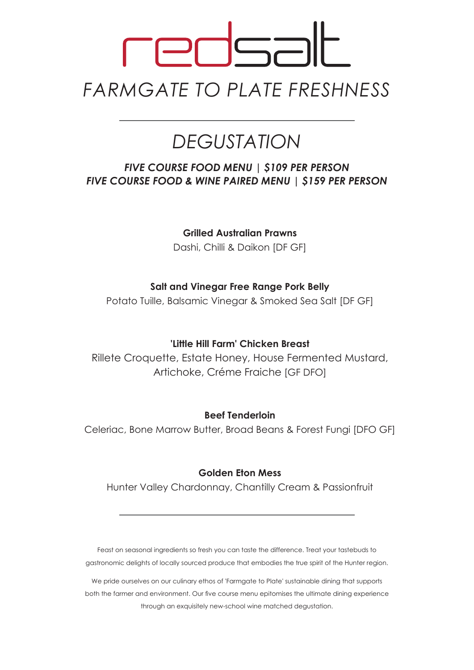# 52 **FPF** *FARMGATE TO PLATE FRESHNESS*

# *DEGUSTATION*

### *FIVE COURSE FOOD MENU | \$109 PER PERSON FIVE COURSE FOOD & WINE PAIRED MENU | \$159 PER PERSON*

**Grilled Australian Prawns**

Dashi, Chilli & Daikon [DF GF]

#### **Salt and Vinegar Free Range Pork Belly**

Potato Tuille, Balsamic Vinegar & Smoked Sea Salt [DF GF]

#### **'Little Hill Farm' Chicken Breast**

Rillete Croquette, Estate Honey, House Fermented Mustard, Artichoke, Créme Fraiche [GF DFO]

#### **Beef Tenderloin**

Celeriac, Bone Marrow Butter, Broad Beans & Forest Fungi [DFO GF]

#### **Golden Eton Mess**

Hunter Valley Chardonnay, Chantilly Cream & Passionfruit

Feast on seasonal ingredients so fresh you can taste the difference. Treat your tastebuds to gastronomic delights of locally sourced produce that embodies the true spirit of the Hunter region.

We pride ourselves on our culinary ethos of 'Farmgate to Plate' sustainable dining that supports both the farmer and environment. Our five course menu epitomises the ultimate dining experience through an exquisitely new-school wine matched degustation.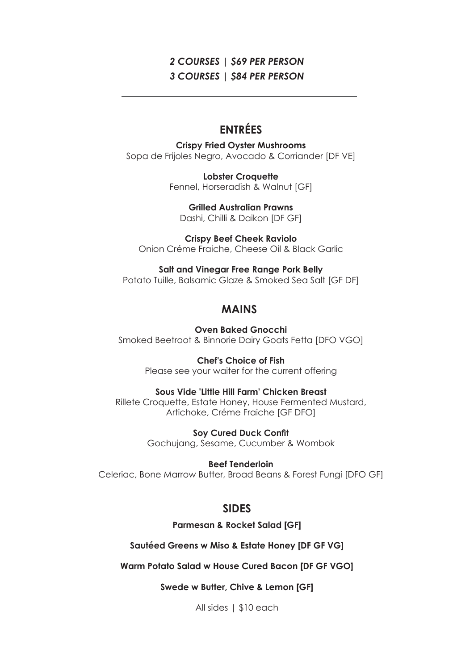#### *2 COURSES | \$69 PER PERSON 3 COURSES | \$84 PER PERSON*

## **ENTRÉES**

**Crispy Fried Oyster Mushrooms** Sopa de Frijoles Negro, Avocado & Corriander [DF VE]

> **Lobster Croquette** Fennel, Horseradish & Walnut [GF]

**Grilled Australian Prawns** Dashi, Chilli & Daikon [DF GF]

**Crispy Beef Cheek Raviolo** Onion Créme Fraiche, Cheese Oil & Black Garlic

**Salt and Vinegar Free Range Pork Belly** Potato Tuille, Balsamic Glaze & Smoked Sea Salt [GF DF]

#### **MAINS**

**Oven Baked Gnocchi** Smoked Beetroot & Binnorie Dairy Goats Fetta [DFO VGO]

> **Chef's Choice of Fish** Please see your waiter for the current offering

#### **Sous Vide 'Little Hill Farm' Chicken Breast**

Rillete Croquette, Estate Honey, House Fermented Mustard, Artichoke, Créme Fraiche [GF DFO]

> **Soy Cured Duck Confit** Gochujang, Sesame, Cucumber & Wombok

> > **Beef Tenderloin**

Celeriac, Bone Marrow Butter, Broad Beans & Forest Fungi [DFO GF]

#### **SIDES**

**Parmesan & Rocket Salad [GF]**

**Sautéed Greens w Miso & Estate Honey [DF GF VG]**

**Warm Potato Salad w House Cured Bacon [DF GF VGO]**

**Swede w Butter, Chive & Lemon [GF]**

All sides | \$10 each